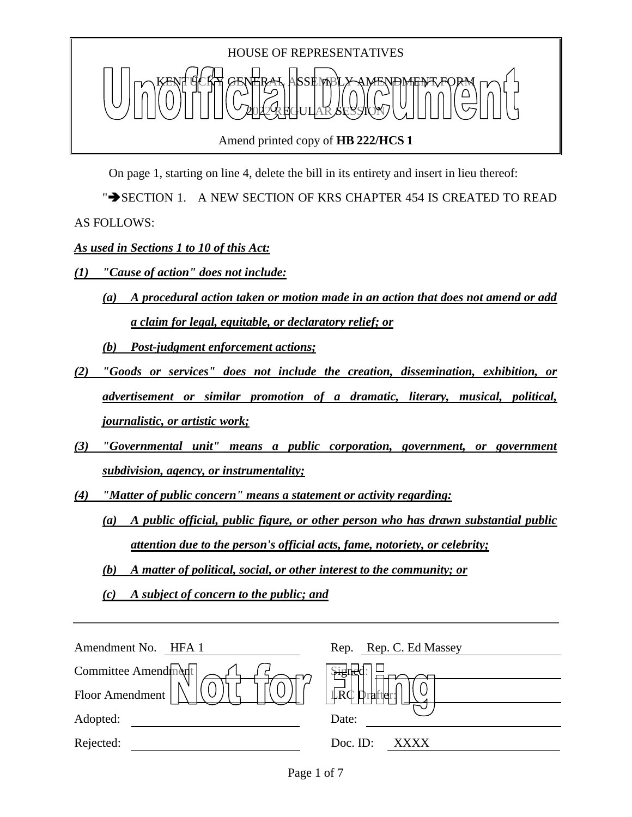

Amend printed copy of **HB 222/HCS 1**

On page 1, starting on line 4, delete the bill in its entirety and insert in lieu thereof:

" $\rightarrow$  SECTION 1. A NEW SECTION OF KRS CHAPTER 454 IS CREATED TO READ AS FOLLOWS:

*As used in Sections 1 to 10 of this Act:*

- *(1) "Cause of action" does not include:*
	- *(a) A procedural action taken or motion made in an action that does not amend or add a claim for legal, equitable, or declaratory relief; or*

*(b) Post-judgment enforcement actions;*

- *(2) "Goods or services" does not include the creation, dissemination, exhibition, or advertisement or similar promotion of a dramatic, literary, musical, political, journalistic, or artistic work;*
- *(3) "Governmental unit" means a public corporation, government, or government subdivision, agency, or instrumentality;*
- *(4) "Matter of public concern" means a statement or activity regarding:*
	- *(a) A public official, public figure, or other person who has drawn substantial public attention due to the person's official acts, fame, notoriety, or celebrity;*
	- *(b) A matter of political, social, or other interest to the community; or*
	- *(c) A subject of concern to the public; and*

| Amendment No. HFA 1 | Rep. Rep. C. Ed Massey             |
|---------------------|------------------------------------|
| Committee Amendment | Signe                              |
| Floor Amendment     | $\mathbb{L}R\mathbb{C}$<br>urafter |
| Adopted:            | Date:                              |
| Rejected:           | Doc. ID:<br><b>XXXX</b>            |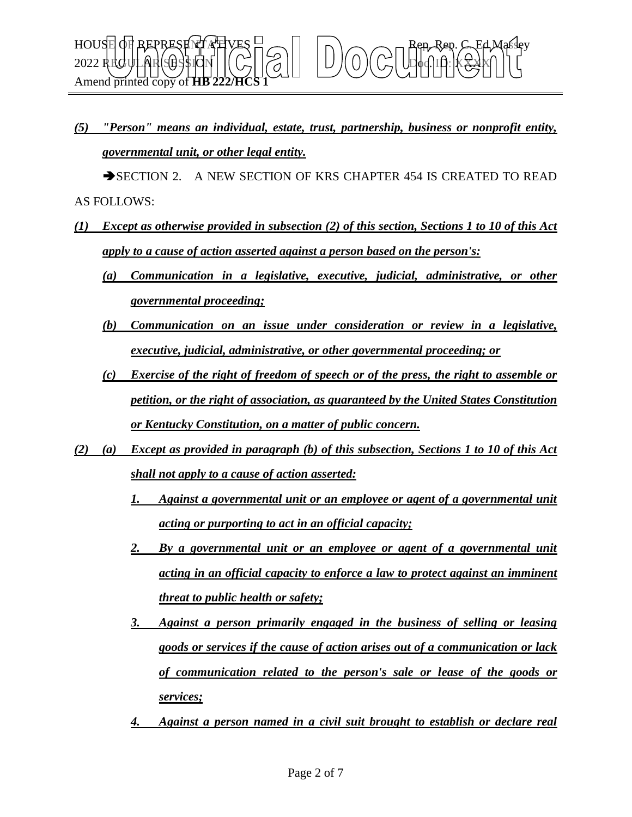*(5) "Person" means an individual, estate, trust, partnership, business or nonprofit entity, governmental unit, or other legal entity.*

SECTION 2. A NEW SECTION OF KRS CHAPTER 454 IS CREATED TO READ AS FOLLOWS:

- *(1) Except as otherwise provided in subsection (2) of this section, Sections 1 to 10 of this Act apply to a cause of action asserted against a person based on the person's:*
	- *(a) Communication in a legislative, executive, judicial, administrative, or other governmental proceeding;*
	- *(b) Communication on an issue under consideration or review in a legislative, executive, judicial, administrative, or other governmental proceeding; or*
	- *(c) Exercise of the right of freedom of speech or of the press, the right to assemble or petition, or the right of association, as guaranteed by the United States Constitution or Kentucky Constitution, on a matter of public concern.*
- *(2) (a) Except as provided in paragraph (b) of this subsection, Sections 1 to 10 of this Act shall not apply to a cause of action asserted:*
	- *1. Against a governmental unit or an employee or agent of a governmental unit acting or purporting to act in an official capacity;*
	- *2. By a governmental unit or an employee or agent of a governmental unit acting in an official capacity to enforce a law to protect against an imminent threat to public health or safety;*
	- *3. Against a person primarily engaged in the business of selling or leasing goods or services if the cause of action arises out of a communication or lack of communication related to the person's sale or lease of the goods or services;*
	- *4. Against a person named in a civil suit brought to establish or declare real*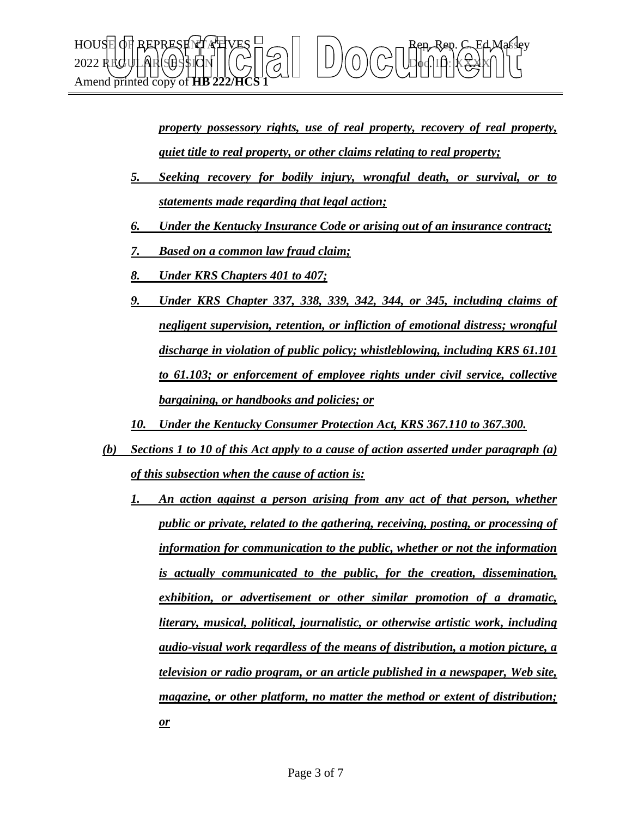

*property possessory rights, use of real property, recovery of real property, quiet title to real property, or other claims relating to real property;*

- *5. Seeking recovery for bodily injury, wrongful death, or survival, or to statements made regarding that legal action;*
- *6. Under the Kentucky Insurance Code or arising out of an insurance contract;*
- *7. Based on a common law fraud claim;*
- *8. Under KRS Chapters 401 to 407;*
- *9. Under KRS Chapter 337, 338, 339, 342, 344, or 345, including claims of negligent supervision, retention, or infliction of emotional distress; wrongful discharge in violation of public policy; whistleblowing, including KRS 61.101 to 61.103; or enforcement of employee rights under civil service, collective bargaining, or handbooks and policies; or*
- *10. Under the Kentucky Consumer Protection Act, KRS 367.110 to 367.300.*
- *(b) Sections 1 to 10 of this Act apply to a cause of action asserted under paragraph (a) of this subsection when the cause of action is:*
	- *1. An action against a person arising from any act of that person, whether public or private, related to the gathering, receiving, posting, or processing of information for communication to the public, whether or not the information is actually communicated to the public, for the creation, dissemination, exhibition, or advertisement or other similar promotion of a dramatic, literary, musical, political, journalistic, or otherwise artistic work, including audio-visual work regardless of the means of distribution, a motion picture, a television or radio program, or an article published in a newspaper, Web site, magazine, or other platform, no matter the method or extent of distribution; or*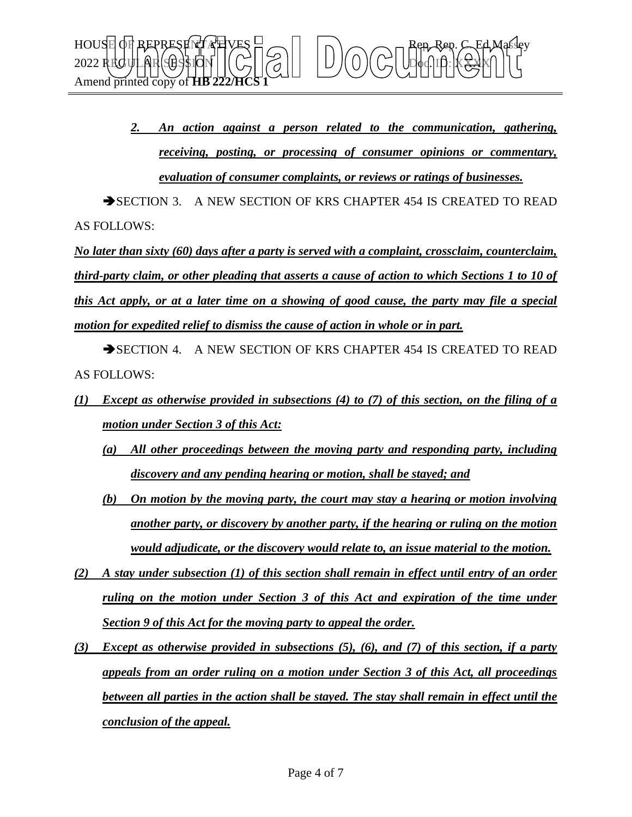

*2. An action against a person related to the communication, gathering, receiving, posting, or processing of consumer opinions or commentary, evaluation of consumer complaints, or reviews or ratings of businesses.*

SECTION 3. A NEW SECTION OF KRS CHAPTER 454 IS CREATED TO READ AS FOLLOWS:

*No later than sixty (60) days after a party is served with a complaint, crossclaim, counterclaim, third-party claim, or other pleading that asserts a cause of action to which Sections 1 to 10 of this Act apply, or at a later time on a showing of good cause, the party may file a special motion for expedited relief to dismiss the cause of action in whole or in part.*

SECTION 4. A NEW SECTION OF KRS CHAPTER 454 IS CREATED TO READ AS FOLLOWS:

- *(1) Except as otherwise provided in subsections (4) to (7) of this section, on the filing of a motion under Section 3 of this Act:*
	- *(a) All other proceedings between the moving party and responding party, including discovery and any pending hearing or motion, shall be stayed; and*
	- *(b) On motion by the moving party, the court may stay a hearing or motion involving another party, or discovery by another party, if the hearing or ruling on the motion would adjudicate, or the discovery would relate to, an issue material to the motion.*
- *(2) A stay under subsection (1) of this section shall remain in effect until entry of an order ruling on the motion under Section 3 of this Act and expiration of the time under Section 9 of this Act for the moving party to appeal the order.*
- *(3) Except as otherwise provided in subsections (5), (6), and (7) of this section, if a party appeals from an order ruling on a motion under Section 3 of this Act, all proceedings between all parties in the action shall be stayed. The stay shall remain in effect until the conclusion of the appeal.*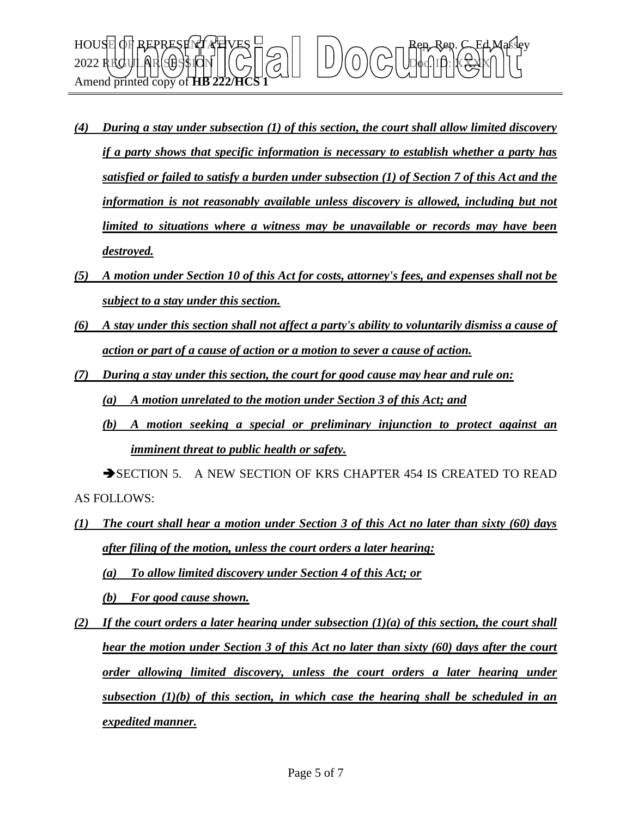

- *(4) During a stay under subsection (1) of this section, the court shall allow limited discovery if a party shows that specific information is necessary to establish whether a party has satisfied or failed to satisfy a burden under subsection (1) of Section 7 of this Act and the information is not reasonably available unless discovery is allowed, including but not limited to situations where a witness may be unavailable or records may have been destroyed.*
- *(5) A motion under Section 10 of this Act for costs, attorney's fees, and expenses shall not be subject to a stay under this section.*
- *(6) A stay under this section shall not affect a party's ability to voluntarily dismiss a cause of action or part of a cause of action or a motion to sever a cause of action.*
- *(7) During a stay under this section, the court for good cause may hear and rule on: (a) A motion unrelated to the motion under Section 3 of this Act; and*
	- *(b) A motion seeking a special or preliminary injunction to protect against an imminent threat to public health or safety.*

SECTION 5. A NEW SECTION OF KRS CHAPTER 454 IS CREATED TO READ AS FOLLOWS:

- *(1) The court shall hear a motion under Section 3 of this Act no later than sixty (60) days after filing of the motion, unless the court orders a later hearing: (a) To allow limited discovery under Section 4 of this Act; or (b) For good cause shown.*
- *(2)* If the court orders a later hearing under subsection  $(1)(a)$  of this section, the court shall *hear the motion under Section 3 of this Act no later than sixty (60) days after the court order allowing limited discovery, unless the court orders a later hearing under subsection (1)(b) of this section, in which case the hearing shall be scheduled in an expedited manner.*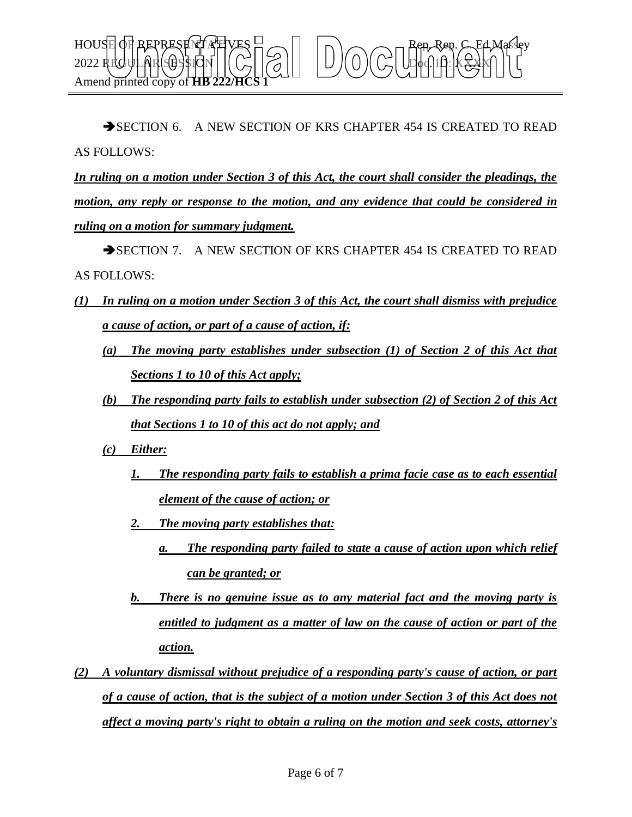

SECTION 6. A NEW SECTION OF KRS CHAPTER 454 IS CREATED TO READ AS FOLLOWS:

*In ruling on a motion under Section 3 of this Act, the court shall consider the pleadings, the motion, any reply or response to the motion, and any evidence that could be considered in ruling on a motion for summary judgment.*

SECTION 7. A NEW SECTION OF KRS CHAPTER 454 IS CREATED TO READ AS FOLLOWS:

- *(1) In ruling on a motion under Section 3 of this Act, the court shall dismiss with prejudice a cause of action, or part of a cause of action, if:*
	- *(a) The moving party establishes under subsection (1) of Section 2 of this Act that Sections 1 to 10 of this Act apply;*
	- *(b) The responding party fails to establish under subsection (2) of Section 2 of this Act that Sections 1 to 10 of this act do not apply; and*
	- *(c) Either:*
		- *1. The responding party fails to establish a prima facie case as to each essential element of the cause of action; or*
		- *2. The moving party establishes that:*
			- *a. The responding party failed to state a cause of action upon which relief can be granted; or*
		- *b. There is no genuine issue as to any material fact and the moving party is entitled to judgment as a matter of law on the cause of action or part of the action.*
- *(2) A voluntary dismissal without prejudice of a responding party's cause of action, or part of a cause of action, that is the subject of a motion under Section 3 of this Act does not affect a moving party's right to obtain a ruling on the motion and seek costs, attorney's*